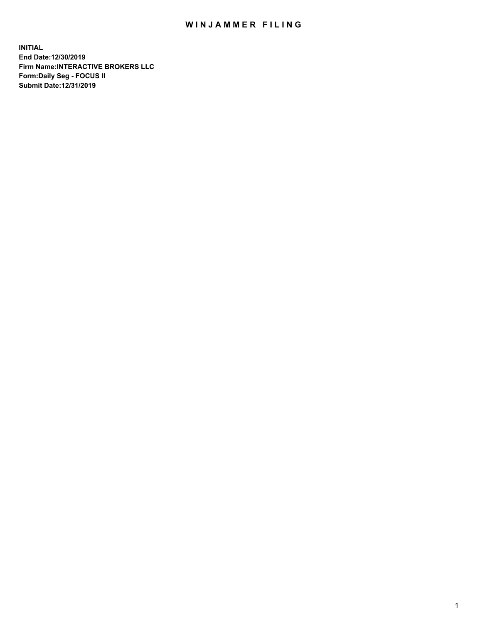## WIN JAMMER FILING

**INITIAL End Date:12/30/2019 Firm Name:INTERACTIVE BROKERS LLC Form:Daily Seg - FOCUS II Submit Date:12/31/2019**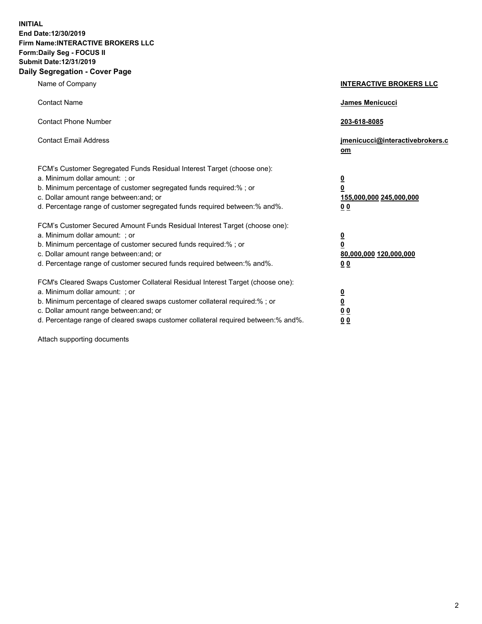**INITIAL End Date:12/30/2019 Firm Name:INTERACTIVE BROKERS LLC Form:Daily Seg - FOCUS II Submit Date:12/31/2019 Daily Segregation - Cover Page**

| Name of Company                                                                                                                                                                                                                                                                                                                | <b>INTERACTIVE BROKERS LLC</b>                                                                  |
|--------------------------------------------------------------------------------------------------------------------------------------------------------------------------------------------------------------------------------------------------------------------------------------------------------------------------------|-------------------------------------------------------------------------------------------------|
| <b>Contact Name</b>                                                                                                                                                                                                                                                                                                            | James Menicucci                                                                                 |
| <b>Contact Phone Number</b>                                                                                                                                                                                                                                                                                                    | 203-618-8085                                                                                    |
| <b>Contact Email Address</b>                                                                                                                                                                                                                                                                                                   | jmenicucci@interactivebrokers.c<br>om                                                           |
| FCM's Customer Segregated Funds Residual Interest Target (choose one):<br>a. Minimum dollar amount: ; or<br>b. Minimum percentage of customer segregated funds required:% ; or<br>c. Dollar amount range between: and; or<br>d. Percentage range of customer segregated funds required between:% and%.                         | $\overline{\mathbf{0}}$<br>$\overline{\mathbf{0}}$<br>155,000,000 245,000,000<br>0 <sub>0</sub> |
| FCM's Customer Secured Amount Funds Residual Interest Target (choose one):<br>a. Minimum dollar amount: ; or<br>b. Minimum percentage of customer secured funds required:%; or<br>c. Dollar amount range between: and; or<br>d. Percentage range of customer secured funds required between:% and%.                            | $\overline{\mathbf{0}}$<br>$\overline{\mathbf{0}}$<br>80,000,000 120,000,000<br>0 <sub>0</sub>  |
| FCM's Cleared Swaps Customer Collateral Residual Interest Target (choose one):<br>a. Minimum dollar amount: ; or<br>b. Minimum percentage of cleared swaps customer collateral required:% ; or<br>c. Dollar amount range between: and; or<br>d. Percentage range of cleared swaps customer collateral required between:% and%. | $\overline{\mathbf{0}}$<br>$\underline{\mathbf{0}}$<br>0 <sub>0</sub><br>0 <sub>0</sub>         |

Attach supporting documents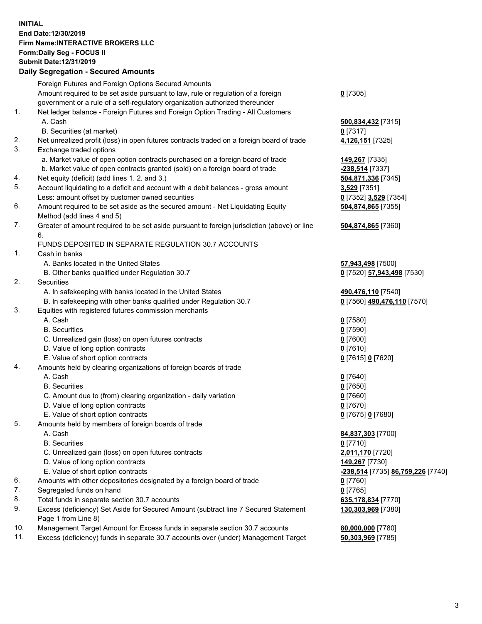## **INITIAL End Date:12/30/2019 Firm Name:INTERACTIVE BROKERS LLC Form:Daily Seg - FOCUS II Submit Date:12/31/2019**

|     | <b>Daily Segregation - Secured Amounts</b>                                                           |                                   |
|-----|------------------------------------------------------------------------------------------------------|-----------------------------------|
|     | Foreign Futures and Foreign Options Secured Amounts                                                  |                                   |
|     | Amount required to be set aside pursuant to law, rule or regulation of a foreign                     | $0$ [7305]                        |
|     | government or a rule of a self-regulatory organization authorized thereunder                         |                                   |
| 1.  | Net ledger balance - Foreign Futures and Foreign Option Trading - All Customers                      |                                   |
|     | A. Cash                                                                                              | 500,834,432 [7315]                |
|     | B. Securities (at market)                                                                            | $0$ [7317]                        |
| 2.  | Net unrealized profit (loss) in open futures contracts traded on a foreign board of trade            | 4,126,151 [7325]                  |
| 3.  | Exchange traded options                                                                              |                                   |
|     | a. Market value of open option contracts purchased on a foreign board of trade                       | 149,267 [7335]                    |
|     | b. Market value of open contracts granted (sold) on a foreign board of trade                         | -238,514 [7337]                   |
| 4.  | Net equity (deficit) (add lines 1. 2. and 3.)                                                        | 504,871,336 [7345]                |
| 5.  | Account liquidating to a deficit and account with a debit balances - gross amount                    | 3,529 [7351]                      |
|     | Less: amount offset by customer owned securities                                                     | 0 [7352] 3,529 [7354]             |
| 6.  | Amount required to be set aside as the secured amount - Net Liquidating Equity                       | 504,874,865 [7355]                |
|     | Method (add lines 4 and 5)                                                                           |                                   |
| 7.  | Greater of amount required to be set aside pursuant to foreign jurisdiction (above) or line          | 504,874,865 [7360]                |
|     | 6.                                                                                                   |                                   |
|     | FUNDS DEPOSITED IN SEPARATE REGULATION 30.7 ACCOUNTS                                                 |                                   |
| 1.  | Cash in banks                                                                                        |                                   |
|     | A. Banks located in the United States                                                                | 57,943,498 [7500]                 |
|     | B. Other banks qualified under Regulation 30.7                                                       | 0 [7520] 57,943,498 [7530]        |
| 2.  | Securities                                                                                           |                                   |
|     | A. In safekeeping with banks located in the United States                                            | 490,476,110 [7540]                |
|     | B. In safekeeping with other banks qualified under Regulation 30.7                                   | 0 [7560] 490,476,110 [7570]       |
| 3.  | Equities with registered futures commission merchants                                                |                                   |
|     | A. Cash                                                                                              | $0$ [7580]                        |
|     | <b>B.</b> Securities                                                                                 | $0$ [7590]                        |
|     | C. Unrealized gain (loss) on open futures contracts                                                  | $0$ [7600]                        |
|     | D. Value of long option contracts                                                                    | $0$ [7610]                        |
|     | E. Value of short option contracts                                                                   | 0 [7615] 0 [7620]                 |
| 4.  | Amounts held by clearing organizations of foreign boards of trade                                    |                                   |
|     | A. Cash                                                                                              | $0$ [7640]                        |
|     | <b>B.</b> Securities                                                                                 |                                   |
|     |                                                                                                      | $0$ [7650]<br>$0$ [7660]          |
|     | C. Amount due to (from) clearing organization - daily variation<br>D. Value of long option contracts |                                   |
|     | E. Value of short option contracts                                                                   | $0$ [7670]                        |
|     |                                                                                                      | 0 [7675] 0 [7680]                 |
| 5.  | Amounts held by members of foreign boards of trade<br>A. Cash                                        |                                   |
|     | <b>B.</b> Securities                                                                                 | 84,837,303 [7700]                 |
|     |                                                                                                      | $0$ [7710]                        |
|     | C. Unrealized gain (loss) on open futures contracts                                                  | 2,011,170 [7720]                  |
|     | D. Value of long option contracts                                                                    | 149,267 [7730]                    |
|     | E. Value of short option contracts                                                                   | -238,514 [7735] 86,759,226 [7740] |
| 6.  | Amounts with other depositories designated by a foreign board of trade                               | $0$ [7760]                        |
| 7.  | Segregated funds on hand                                                                             | $0$ [7765]                        |
| 8.  | Total funds in separate section 30.7 accounts                                                        | 635, 178, 834 [7770]              |
| 9.  | Excess (deficiency) Set Aside for Secured Amount (subtract line 7 Secured Statement                  | 130,303,969 [7380]                |
|     | Page 1 from Line 8)                                                                                  |                                   |
| 10. | Management Target Amount for Excess funds in separate section 30.7 accounts                          | 80,000,000 [7780]                 |
| 11. | Excess (deficiency) funds in separate 30.7 accounts over (under) Management Target                   | 50,303,969 [7785]                 |
|     |                                                                                                      |                                   |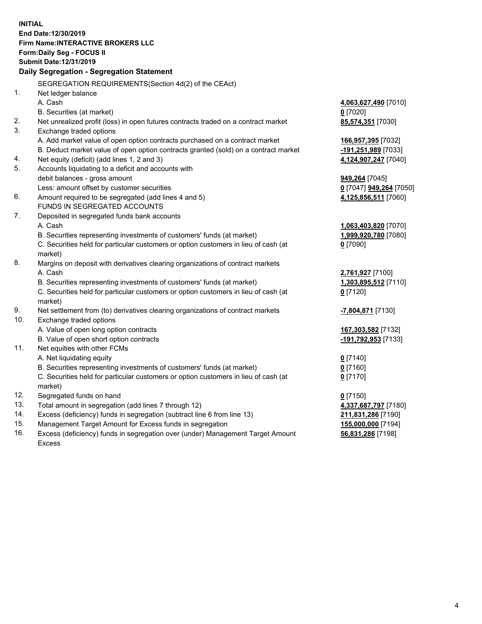**INITIAL End Date:12/30/2019 Firm Name:INTERACTIVE BROKERS LLC Form:Daily Seg - FOCUS II Submit Date:12/31/2019 Daily Segregation - Segregation Statement** SEGREGATION REQUIREMENTS(Section 4d(2) of the CEAct) 1. Net ledger balance A. Cash **4,063,627,490** [7010] B. Securities (at market) **0** [7020] 2. Net unrealized profit (loss) in open futures contracts traded on a contract market **85,574,351** [7030] 3. Exchange traded options A. Add market value of open option contracts purchased on a contract market **166,957,395** [7032] B. Deduct market value of open option contracts granted (sold) on a contract market **-191,251,989** [7033] 4. Net equity (deficit) (add lines 1, 2 and 3) **4,124,907,247** [7040] 5. Accounts liquidating to a deficit and accounts with debit balances - gross amount **949,264** [7045] Less: amount offset by customer securities **0** [7047] **949,264** [7050] 6. Amount required to be segregated (add lines 4 and 5) **4,125,856,511** [7060] FUNDS IN SEGREGATED ACCOUNTS 7. Deposited in segregated funds bank accounts A. Cash **1,063,403,820** [7070] B. Securities representing investments of customers' funds (at market) **1,999,920,780** [7080] C. Securities held for particular customers or option customers in lieu of cash (at market) **0** [7090] 8. Margins on deposit with derivatives clearing organizations of contract markets A. Cash **2,761,927** [7100] B. Securities representing investments of customers' funds (at market) **1,303,895,512** [7110] C. Securities held for particular customers or option customers in lieu of cash (at market) **0** [7120] 9. Net settlement from (to) derivatives clearing organizations of contract markets **-7,804,871** [7130] 10. Exchange traded options A. Value of open long option contracts **167,303,582** [7132] B. Value of open short option contracts **-191,792,953** [7133] 11. Net equities with other FCMs A. Net liquidating equity **0** [7140] B. Securities representing investments of customers' funds (at market) **0** [7160] C. Securities held for particular customers or option customers in lieu of cash (at market) **0** [7170] 12. Segregated funds on hand **0** [7150] 13. Total amount in segregation (add lines 7 through 12) **4,337,687,797** [7180] 14. Excess (deficiency) funds in segregation (subtract line 6 from line 13) **211,831,286** [7190] 15. Management Target Amount for Excess funds in segregation **155,000,000** [7194] **56,831,286** [7198]

16. Excess (deficiency) funds in segregation over (under) Management Target Amount Excess